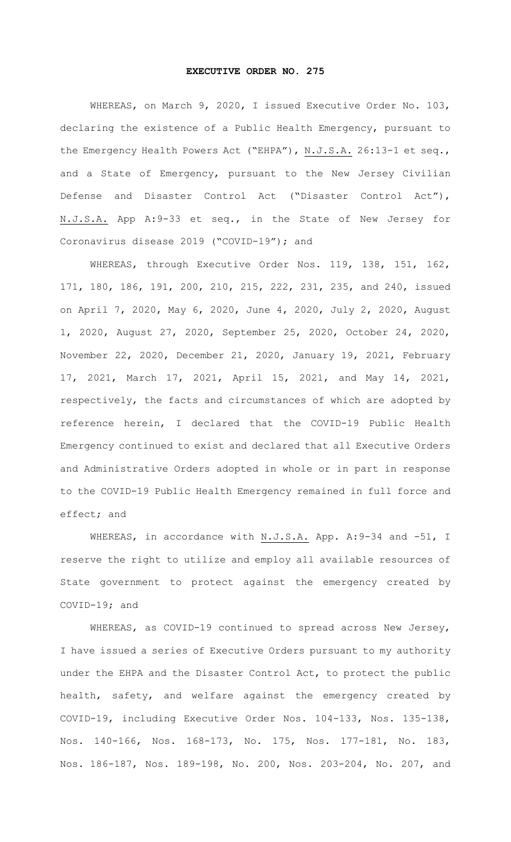## **EXECUTIVE ORDER NO. 275**

WHEREAS, on March 9, 2020, I issued Executive Order No. 103, declaring the existence of a Public Health Emergency, pursuant to the Emergency Health Powers Act ("EHPA"), N.J.S.A. 26:13-1 et seq., and a State of Emergency, pursuant to the New Jersey Civilian Defense and Disaster Control Act ("Disaster Control Act"), N.J.S.A. App A:9-33 et seq., in the State of New Jersey for Coronavirus disease 2019 ("COVID-19"); and

WHEREAS, through Executive Order Nos. 119, 138, 151, 162, 171, 180, 186, 191, 200, 210, 215, 222, 231, 235, and 240, issued on April 7, 2020, May 6, 2020, June 4, 2020, July 2, 2020, August 1, 2020, August 27, 2020, September 25, 2020, October 24, 2020, November 22, 2020, December 21, 2020, January 19, 2021, February 17, 2021, March 17, 2021, April 15, 2021, and May 14, 2021, respectively, the facts and circumstances of which are adopted by reference herein, I declared that the COVID-19 Public Health Emergency continued to exist and declared that all Executive Orders and Administrative Orders adopted in whole or in part in response to the COVID-19 Public Health Emergency remained in full force and effect; and

WHEREAS, in accordance with N.J.S.A. App. A: 9-34 and -51, I reserve the right to utilize and employ all available resources of State government to protect against the emergency created by COVID-19; and

WHEREAS, as COVID-19 continued to spread across New Jersey, I have issued a series of Executive Orders pursuant to my authority under the EHPA and the Disaster Control Act, to protect the public health, safety, and welfare against the emergency created by COVID-19, including Executive Order Nos. 104-133, Nos. 135-138, Nos. 140-166, Nos. 168-173, No. 175, Nos. 177-181, No. 183, Nos. 186-187, Nos. 189-198, No. 200, Nos. 203-204, No. 207, and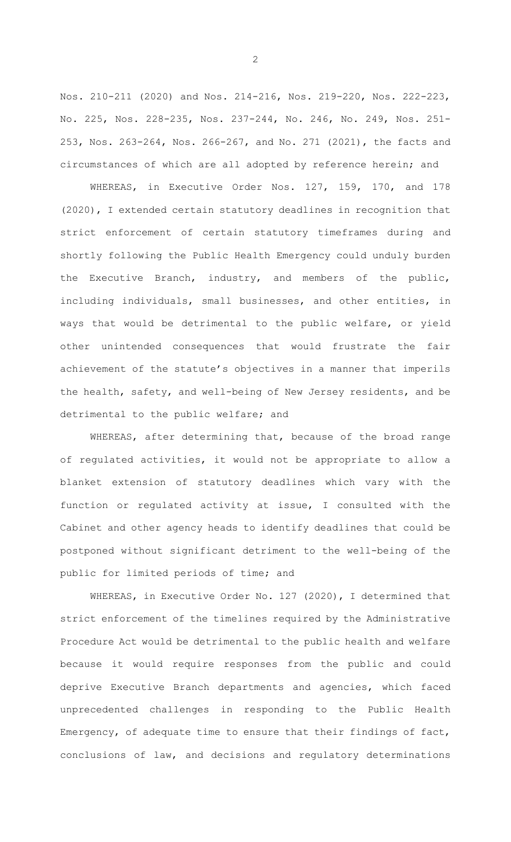Nos. 210-211 (2020) and Nos. 214-216, Nos. 219-220, Nos. 222-223, No. 225, Nos. 228-235, Nos. 237-244, No. 246, No. 249, Nos. 251- 253, Nos. 263-264, Nos. 266-267, and No. 271 (2021), the facts and circumstances of which are all adopted by reference herein; and

WHEREAS, in Executive Order Nos. 127, 159, 170, and 178 (2020), I extended certain statutory deadlines in recognition that strict enforcement of certain statutory timeframes during and shortly following the Public Health Emergency could unduly burden the Executive Branch, industry, and members of the public, including individuals, small businesses, and other entities, in ways that would be detrimental to the public welfare, or yield other unintended consequences that would frustrate the fair achievement of the statute's objectives in a manner that imperils the health, safety, and well-being of New Jersey residents, and be detrimental to the public welfare; and

WHEREAS, after determining that, because of the broad range of regulated activities, it would not be appropriate to allow a blanket extension of statutory deadlines which vary with the function or regulated activity at issue, I consulted with the Cabinet and other agency heads to identify deadlines that could be postponed without significant detriment to the well-being of the public for limited periods of time; and

WHEREAS, in Executive Order No. 127 (2020), I determined that strict enforcement of the timelines required by the Administrative Procedure Act would be detrimental to the public health and welfare because it would require responses from the public and could deprive Executive Branch departments and agencies, which faced unprecedented challenges in responding to the Public Health Emergency, of adequate time to ensure that their findings of fact, conclusions of law, and decisions and regulatory determinations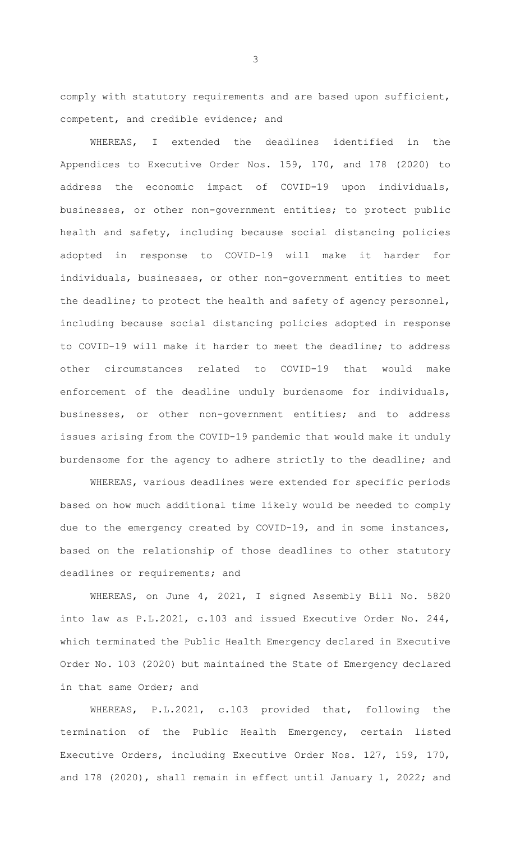comply with statutory requirements and are based upon sufficient, competent, and credible evidence; and

WHEREAS, I extended the deadlines identified in the Appendices to Executive Order Nos. 159, 170, and 178 (2020) to address the economic impact of COVID-19 upon individuals, businesses, or other non-government entities; to protect public health and safety, including because social distancing policies adopted in response to COVID-19 will make it harder for individuals, businesses, or other non-government entities to meet the deadline; to protect the health and safety of agency personnel, including because social distancing policies adopted in response to COVID-19 will make it harder to meet the deadline; to address other circumstances related to COVID-19 that would make enforcement of the deadline unduly burdensome for individuals, businesses, or other non-government entities; and to address issues arising from the COVID-19 pandemic that would make it unduly burdensome for the agency to adhere strictly to the deadline; and

WHEREAS, various deadlines were extended for specific periods based on how much additional time likely would be needed to comply due to the emergency created by COVID-19, and in some instances, based on the relationship of those deadlines to other statutory deadlines or requirements; and

WHEREAS, on June 4, 2021, I signed Assembly Bill No. 5820 into law as P.L.2021, c.103 and issued Executive Order No. 244, which terminated the Public Health Emergency declared in Executive Order No. 103 (2020) but maintained the State of Emergency declared in that same Order; and

WHEREAS, P.L.2021, c.103 provided that, following the termination of the Public Health Emergency, certain listed Executive Orders, including Executive Order Nos. 127, 159, 170, and 178 (2020), shall remain in effect until January 1, 2022; and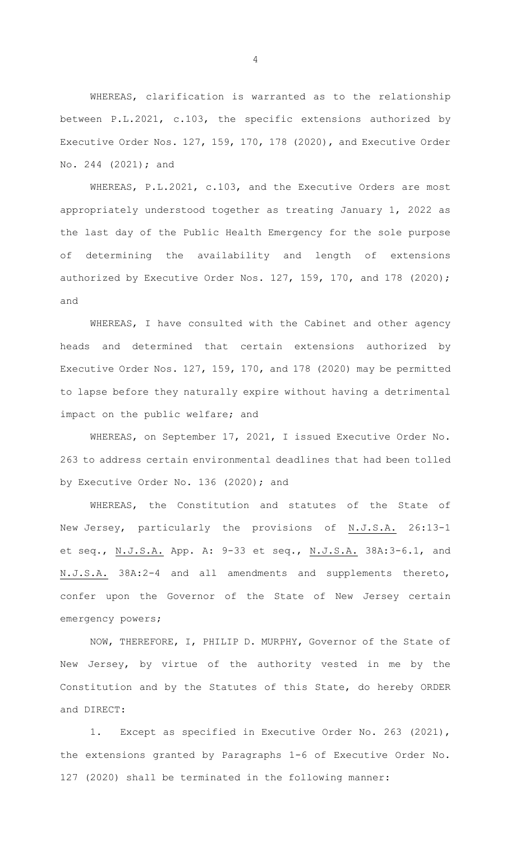WHEREAS, clarification is warranted as to the relationship between P.L.2021, c.103, the specific extensions authorized by Executive Order Nos. 127, 159, 170, 178 (2020), and Executive Order No. 244 (2021); and

WHEREAS, P.L.2021, c.103, and the Executive Orders are most appropriately understood together as treating January 1, 2022 as the last day of the Public Health Emergency for the sole purpose of determining the availability and length of extensions authorized by Executive Order Nos. 127, 159, 170, and 178 (2020); and

WHEREAS, I have consulted with the Cabinet and other agency heads and determined that certain extensions authorized by Executive Order Nos. 127, 159, 170, and 178 (2020) may be permitted to lapse before they naturally expire without having a detrimental impact on the public welfare; and

WHEREAS, on September 17, 2021, I issued Executive Order No. 263 to address certain environmental deadlines that had been tolled by Executive Order No. 136 (2020); and

WHEREAS, the Constitution and statutes of the State of New Jersey, particularly the provisions of N.J.S.A. 26:13-1 et seq., N.J.S.A. App. A: 9-33 et seq., N.J.S.A. 38A:3-6.1, and N.J.S.A. 38A:2-4 and all amendments and supplements thereto, confer upon the Governor of the State of New Jersey certain emergency powers;

NOW, THEREFORE, I, PHILIP D. MURPHY, Governor of the State of New Jersey, by virtue of the authority vested in me by the Constitution and by the Statutes of this State, do hereby ORDER and DIRECT:

1. Except as specified in Executive Order No. 263 (2021), the extensions granted by Paragraphs 1-6 of Executive Order No. 127 (2020) shall be terminated in the following manner: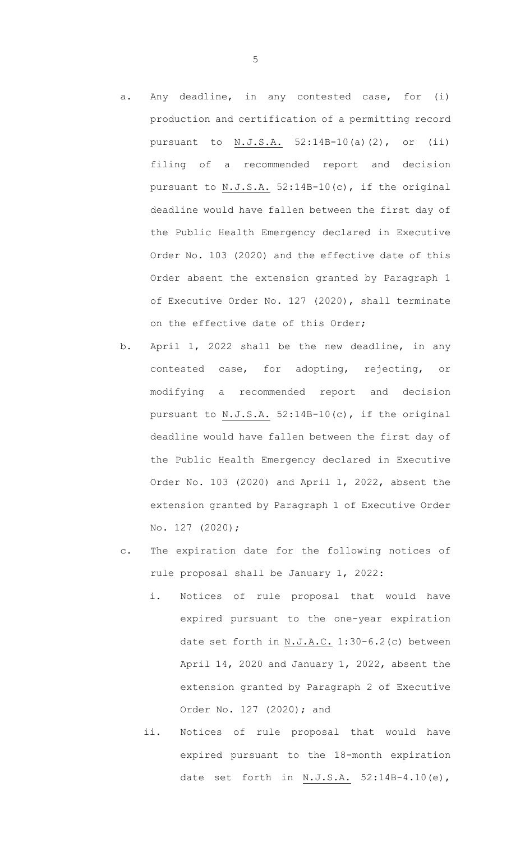- a. Any deadline, in any contested case, for (i) production and certification of a permitting record pursuant to N.J.S.A. 52:14B-10(a)(2), or (ii) filing of a recommended report and decision pursuant to N.J.S.A. 52:14B-10(c), if the original deadline would have fallen between the first day of the Public Health Emergency declared in Executive Order No. 103 (2020) and the effective date of this Order absent the extension granted by Paragraph 1 of Executive Order No. 127 (2020), shall terminate on the effective date of this Order;
- b. April 1, 2022 shall be the new deadline, in any contested case, for adopting, rejecting, or modifying a recommended report and decision pursuant to N.J.S.A. 52:14B-10(c), if the original deadline would have fallen between the first day of the Public Health Emergency declared in Executive Order No. 103 (2020) and April 1, 2022, absent the extension granted by Paragraph 1 of Executive Order No. 127 (2020);
- c. The expiration date for the following notices of rule proposal shall be January 1, 2022:
	- i. Notices of rule proposal that would have expired pursuant to the one-year expiration date set forth in N.J.A.C. 1:30-6.2(c) between April 14, 2020 and January 1, 2022, absent the extension granted by Paragraph 2 of Executive Order No. 127 (2020); and
	- ii. Notices of rule proposal that would have expired pursuant to the 18-month expiration date set forth in  $N.J.S.A.$  52:14B-4.10(e),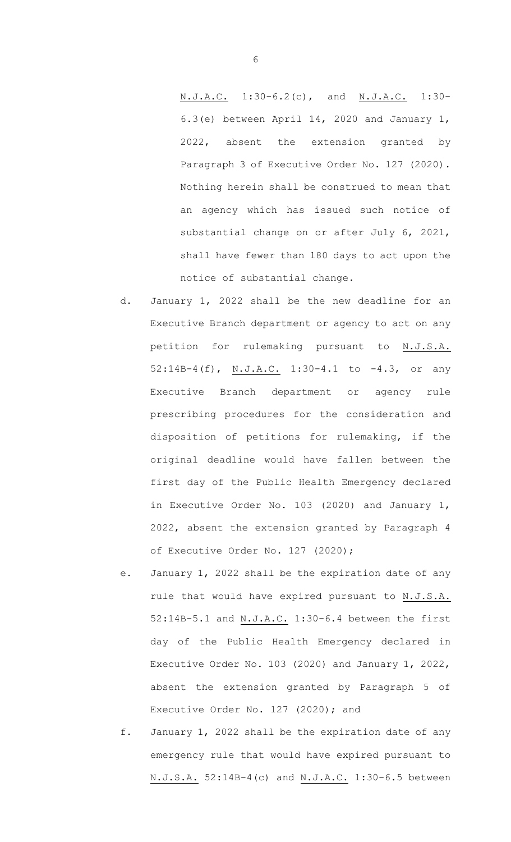N.J.A.C. 1:30-6.2(c), and N.J.A.C. 1:30- 6.3(e) between April 14, 2020 and January 1, 2022, absent the extension granted by Paragraph 3 of Executive Order No. 127 (2020). Nothing herein shall be construed to mean that an agency which has issued such notice of substantial change on or after July 6, 2021, shall have fewer than 180 days to act upon the notice of substantial change.

- d. January 1, 2022 shall be the new deadline for an Executive Branch department or agency to act on any petition for rulemaking pursuant to N.J.S.A. 52:14B-4(f), N.J.A.C. 1:30-4.1 to -4.3, or any Executive Branch department or agency rule prescribing procedures for the consideration and disposition of petitions for rulemaking, if the original deadline would have fallen between the first day of the Public Health Emergency declared in Executive Order No. 103 (2020) and January 1, 2022, absent the extension granted by Paragraph 4 of Executive Order No. 127 (2020);
- e. January 1, 2022 shall be the expiration date of any rule that would have expired pursuant to N.J.S.A. 52:14B-5.1 and N.J.A.C. 1:30-6.4 between the first day of the Public Health Emergency declared in Executive Order No. 103 (2020) and January 1, 2022, absent the extension granted by Paragraph 5 of Executive Order No. 127 (2020); and
- f. January 1, 2022 shall be the expiration date of any emergency rule that would have expired pursuant to N.J.S.A. 52:14B-4(c) and N.J.A.C. 1:30-6.5 between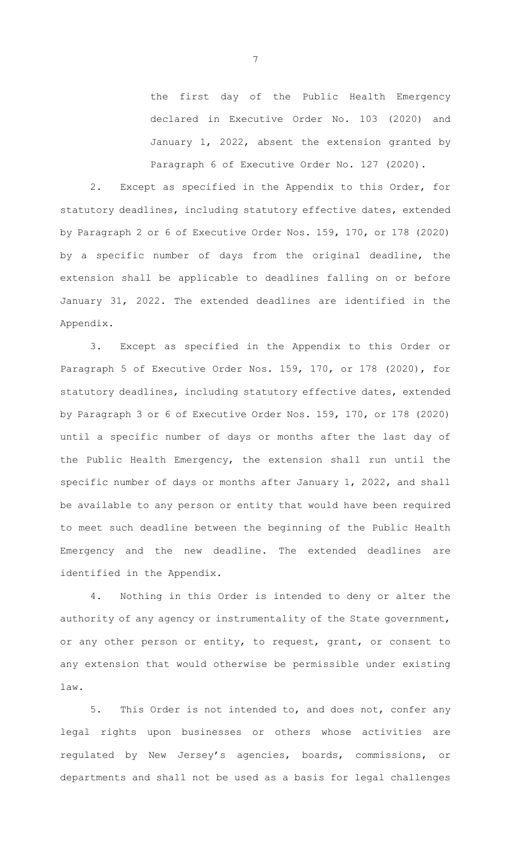the first day of the Public Health Emergency declared in Executive Order No. 103 (2020) and January 1, 2022, absent the extension granted by Paragraph 6 of Executive Order No. 127 (2020).

2. Except as specified in the Appendix to this Order, for statutory deadlines, including statutory effective dates, extended by Paragraph 2 or 6 of Executive Order Nos. 159, 170, or 178 (2020) by a specific number of days from the original deadline, the extension shall be applicable to deadlines falling on or before January 31, 2022. The extended deadlines are identified in the Appendix.

3. Except as specified in the Appendix to this Order or Paragraph 5 of Executive Order Nos. 159, 170, or 178 (2020), for statutory deadlines, including statutory effective dates, extended by Paragraph 3 or 6 of Executive Order Nos. 159, 170, or 178 (2020) until a specific number of days or months after the last day of the Public Health Emergency, the extension shall run until the specific number of days or months after January 1, 2022, and shall be available to any person or entity that would have been required to meet such deadline between the beginning of the Public Health Emergency and the new deadline. The extended deadlines are identified in the Appendix.

4. Nothing in this Order is intended to deny or alter the authority of any agency or instrumentality of the State government, or any other person or entity, to request, grant, or consent to any extension that would otherwise be permissible under existing law.

5. This Order is not intended to, and does not, confer any legal rights upon businesses or others whose activities are regulated by New Jersey's agencies, boards, commissions, or departments and shall not be used as a basis for legal challenges